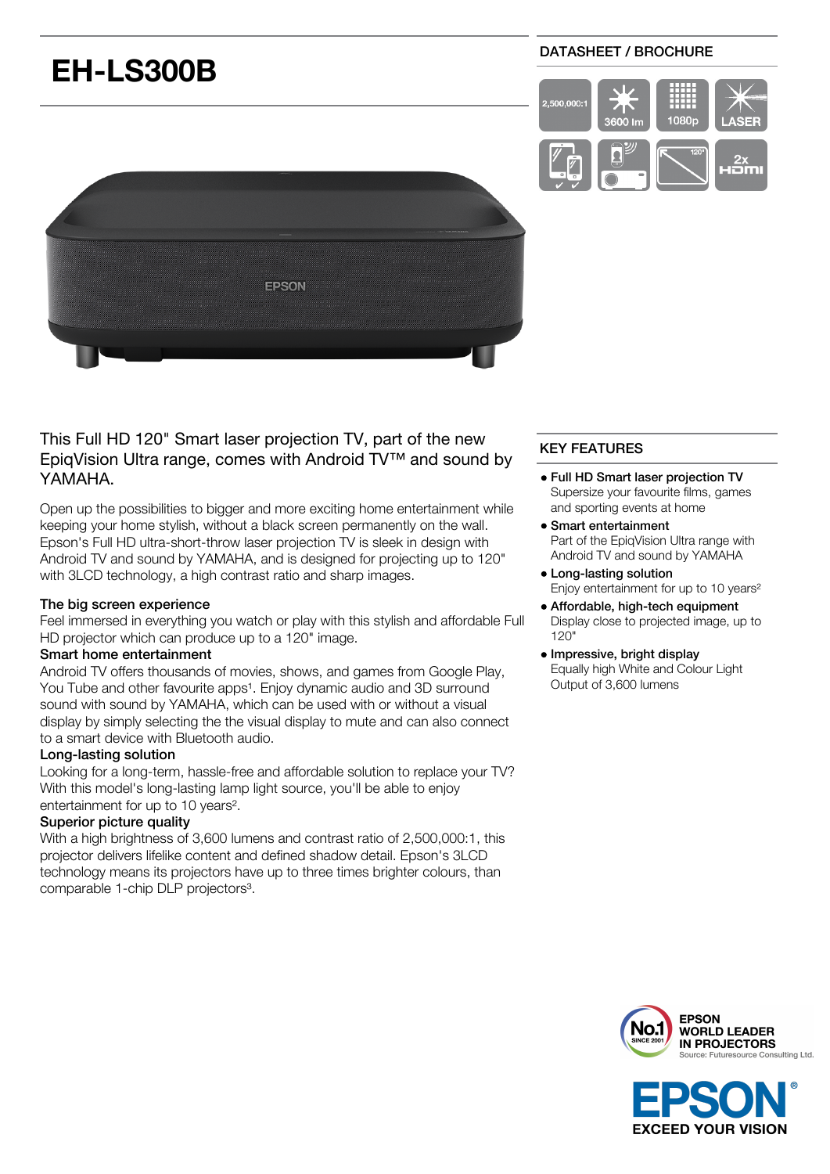# **EH-LS300B**

# DATASHEET / BROCHURE





# This Full HD 120" Smart laser projection TV, part of the new EpiqVision Ultra range, comes with Android TV™ and sound by YAMAHA.

Open up the possibilities to bigger and more exciting home entertainment while keeping your home stylish, without a black screen permanently on the wall. Epson's Full HD ultra-short-throw laser projection TV is sleek in design with Android TV and sound by YAMAHA, and is designed for projecting up to 120" with 3LCD technology, a high contrast ratio and sharp images.

# The big screen experience

Feel immersed in everything you watch or play with this stylish and affordable Full HD projector which can produce up to a 120" image.

## Smart home entertainment

Android TV offers thousands of movies, shows, and games from Google Play, You Tube and other favourite apps<sup>1</sup>. Enjoy dynamic audio and 3D surround sound with sound by YAMAHA, which can be used with or without a visual display by simply selecting the the visual display to mute and can also connect to a smart device with Bluetooth audio.

## Long-lasting solution

Looking for a long-term, hassle-free and affordable solution to replace your TV? With this model's long-lasting lamp light source, you'll be able to enjoy entertainment for up to 10 years².

# Superior picture quality

With a high brightness of 3,600 lumens and contrast ratio of 2,500,000:1, this projector delivers lifelike content and defined shadow detail. Epson's 3LCD technology means its projectors have up to three times brighter colours, than comparable 1-chip DLP projectors<sup>3</sup>.

# KEY FEATURES

- Full HD Smart laser projection TV Supersize your favourite films, games and sporting events at home
- Smart entertainment Part of the EpiqVision Ultra range with Android TV and sound by YAMAHA
- Long-lasting solution Enjoy entertainment for up to 10 years²
- Affordable, high-tech equipment Display close to projected image, up to 120"
- Impressive, bright display Equally high White and Colour Light Output of 3,600 lumens



**EXCEED YOUR VISION**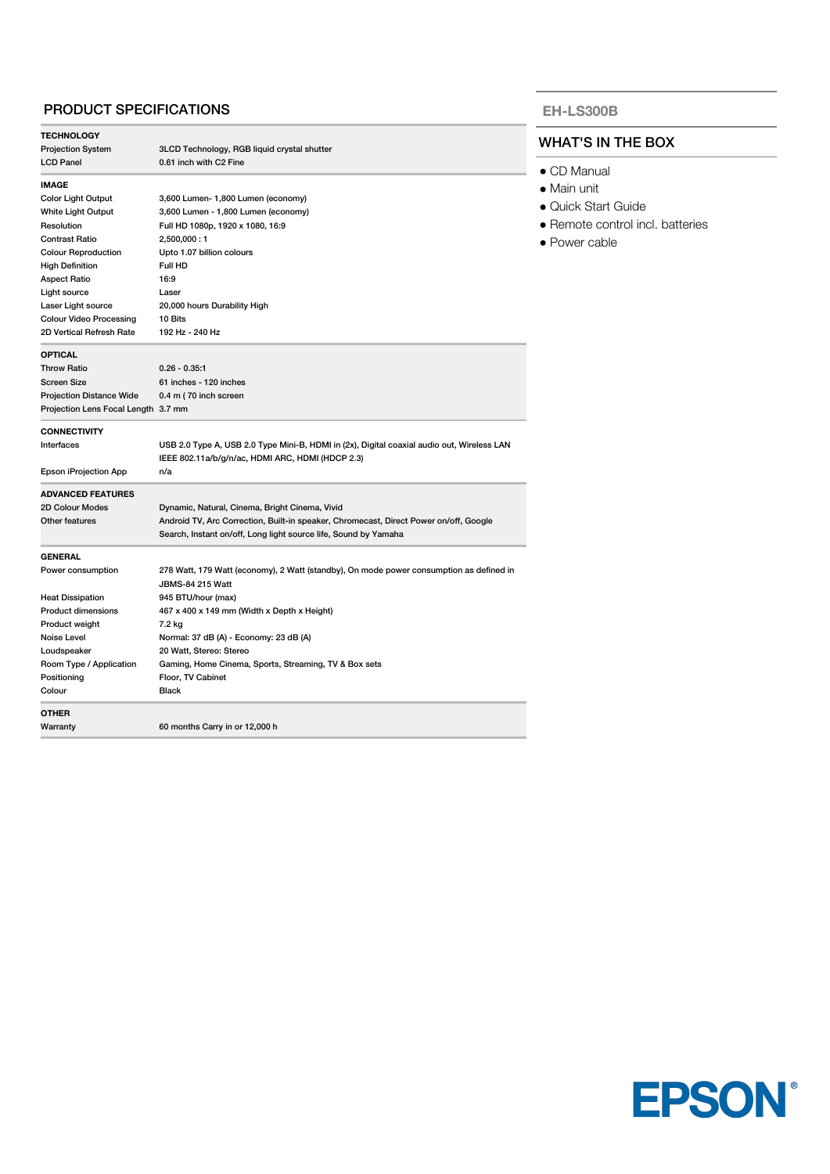# PRODUCT SPECIFICATIONS

| <b>TECHNOLOGY</b>                    |                                                                                            |
|--------------------------------------|--------------------------------------------------------------------------------------------|
| <b>Projection System</b>             | 3LCD Technology, RGB liquid crystal shutter                                                |
| <b>LCD Panel</b>                     | 0.61 inch with C2 Fine                                                                     |
| <b>IMAGE</b>                         |                                                                                            |
| <b>Color Light Output</b>            | 3,600 Lumen- 1,800 Lumen (economy)                                                         |
| White Light Output                   | 3,600 Lumen - 1,800 Lumen (economy)                                                        |
| Resolution                           | Full HD 1080p, 1920 x 1080, 16:9                                                           |
| <b>Contrast Ratio</b>                | 2,500,000:1                                                                                |
| <b>Colour Reproduction</b>           | Upto 1.07 billion colours                                                                  |
| <b>High Definition</b>               | Full HD                                                                                    |
| <b>Aspect Ratio</b>                  | 16:9                                                                                       |
| Light source                         | Laser                                                                                      |
| Laser Light source                   | 20,000 hours Durability High                                                               |
| <b>Colour Video Processing</b>       | 10 Bits                                                                                    |
| 2D Vertical Refresh Rate             | 192 Hz - 240 Hz                                                                            |
|                                      |                                                                                            |
| <b>OPTICAL</b><br><b>Throw Ratio</b> | $0.26 - 0.35:1$                                                                            |
|                                      |                                                                                            |
| Screen Size                          | 61 inches - 120 inches                                                                     |
| <b>Projection Distance Wide</b>      | 0.4 m (70 inch screen                                                                      |
| Projection Lens Focal Length 3.7 mm  |                                                                                            |
| <b>CONNECTIVITY</b>                  |                                                                                            |
| Interfaces                           | USB 2.0 Type A, USB 2.0 Type Mini-B, HDMI in (2x), Digital coaxial audio out, Wireless LAN |
|                                      | IEEE 802.11a/b/g/n/ac, HDMI ARC, HDMI (HDCP 2.3)                                           |
| Epson iProjection App                | n/a                                                                                        |
| <b>ADVANCED FEATURES</b>             |                                                                                            |
| 2D Colour Modes                      | Dynamic, Natural, Cinema, Bright Cinema, Vivid                                             |
| Other features                       | Android TV, Arc Correction, Built-in speaker, Chromecast, Direct Power on/off, Google      |
|                                      | Search, Instant on/off, Long light source life, Sound by Yamaha                            |
|                                      |                                                                                            |
| <b>GENERAL</b><br>Power consumption  | 278 Watt, 179 Watt (economy), 2 Watt (standby), On mode power consumption as defined in    |
|                                      | <b>JBMS-84 215 Watt</b>                                                                    |
|                                      |                                                                                            |
| <b>Heat Dissipation</b>              | 945 BTU/hour (max)                                                                         |
| <b>Product dimensions</b>            | 467 x 400 x 149 mm (Width x Depth x Height)                                                |
| Product weight                       | 7.2 kg                                                                                     |
| Noise Level                          | Normal: 37 dB (A) - Economy: 23 dB (A)                                                     |
| Loudspeaker                          | 20 Watt, Stereo: Stereo                                                                    |
| Room Type / Application              | Gaming, Home Cinema, Sports, Streaming, TV & Box sets                                      |
| Positioning                          | Floor, TV Cabinet                                                                          |
| Colour                               | <b>Black</b>                                                                               |
| <b>OTHER</b>                         |                                                                                            |
| Warranty                             | 60 months Carry in or 12,000 h                                                             |
|                                      |                                                                                            |

#### **EH-LS300B**

# WHAT'S IN THE BOX

- CD Manual
- Main unit
- Quick Start Guide
- Remote control incl. batteries
- Power cable